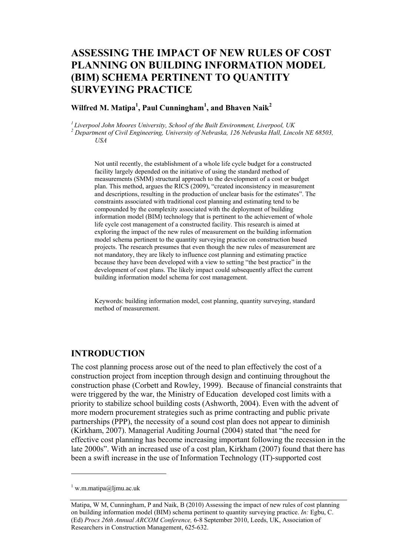## **ASSESSING THE IMPACT OF NEW RULES OF COST PLANNING ON BUILDING INFORMATION MODEL (BIM) SCHEMA PERTINENT TO QUANTITY SURVEYING PRACTICE**

### **Wilfred M. Matipa<sup>1</sup> , Paul Cunningham<sup>1</sup> , and Bhaven Naik<sup>2</sup>**

*1 Liverpool John Moores University, School of the Built Environment, Liverpool, UK* 

<sup>2</sup> Department of Civil Engineering, University of Nebraska, 126 Nebraska Hall, Lincoln NE 68503, *USA* 

Not until recently, the establishment of a whole life cycle budget for a constructed facility largely depended on the initiative of using the standard method of measurements (SMM) structural approach to the development of a cost or budget plan. This method, argues the RICS (2009), "created inconsistency in measurement and descriptions, resulting in the production of unclear basis for the estimates". The constraints associated with traditional cost planning and estimating tend to be compounded by the complexity associated with the deployment of building information model (BIM) technology that is pertinent to the achievement of whole life cycle cost management of a constructed facility. This research is aimed at exploring the impact of the new rules of measurement on the building information model schema pertinent to the quantity surveying practice on construction based projects. The research presumes that even though the new rules of measurement are not mandatory, they are likely to influence cost planning and estimating practice because they have been developed with a view to setting "the best practice" in the development of cost plans. The likely impact could subsequently affect the current building information model schema for cost management.

Keywords: building information model, cost planning, quantity surveying, standard method of measurement.

#### **INTRODUCTION**

The cost planning process arose out of the need to plan effectively the cost of a construction project from inception through design and continuing throughout the construction phase (Corbett and Rowley, 1999). Because of financial constraints that were triggered by the war, the Ministry of Education developed cost limits with a priority to stabilize school building costs (Ashworth, 2004). Even with the advent of more modern procurement strategies such as prime contracting and public private partnerships (PPP), the necessity of a sound cost plan does not appear to diminish (Kirkham, 2007). Managerial Auditing Journal (2004) stated that "the need for effective cost planning has become increasing important following the recession in the late 2000s". With an increased use of a cost plan, Kirkham (2007) found that there has been a swift increase in the use of Information Technology (IT)-supported cost

 $\overline{a}$ 

 $\frac{1}{1}$  w.m.matipa@ljmu.ac.uk

Matipa, W M, Cunningham, P and Naik, B (2010) Assessing the impact of new rules of cost planning on building information model (BIM) schema pertinent to quantity surveying practice. *In:* Egbu, C. (Ed) *Procs 26th Annual ARCOM Conference,* 6-8 September 2010, Leeds, UK, Association of Researchers in Construction Management, 625-632.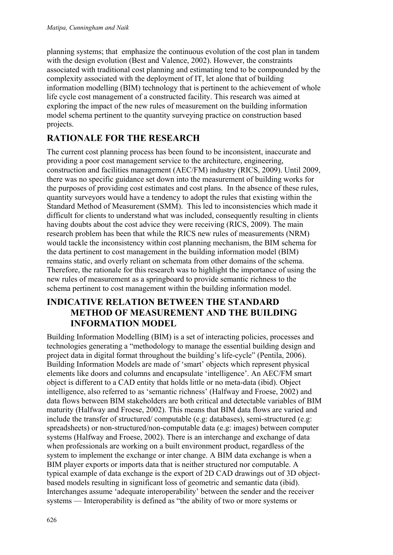planning systems; that emphasize the continuous evolution of the cost plan in tandem with the design evolution (Best and Valence, 2002). However, the constraints associated with traditional cost planning and estimating tend to be compounded by the complexity associated with the deployment of IT, let alone that of building information modelling (BIM) technology that is pertinent to the achievement of whole life cycle cost management of a constructed facility. This research was aimed at exploring the impact of the new rules of measurement on the building information model schema pertinent to the quantity surveying practice on construction based projects.

# **RATIONALE FOR THE RESEARCH**

The current cost planning process has been found to be inconsistent, inaccurate and providing a poor cost management service to the architecture, engineering, construction and facilities management (AEC/FM) industry (RICS, 2009). Until 2009, there was no specific guidance set down into the measurement of building works for the purposes of providing cost estimates and cost plans. In the absence of these rules, quantity surveyors would have a tendency to adopt the rules that existing within the Standard Method of Measurement (SMM). This led to inconsistencies which made it difficult for clients to understand what was included, consequently resulting in clients having doubts about the cost advice they were receiving (RICS, 2009). The main research problem has been that while the RICS new rules of measurements (NRM) would tackle the inconsistency within cost planning mechanism, the BIM schema for the data pertinent to cost management in the building information model (BIM) remains static, and overly reliant on schemata from other domains of the schema. Therefore, the rationale for this research was to highlight the importance of using the new rules of measurement as a springboard to provide semantic richness to the schema pertinent to cost management within the building information model.

## **INDICATIVE RELATION BETWEEN THE STANDARD METHOD OF MEASUREMENT AND THE BUILDING INFORMATION MODEL**

Building Information Modelling (BIM) is a set of interacting policies, processes and technologies generating a "methodology to manage the essential building design and project data in digital format throughout the building's life-cycle" (Pentila, 2006). Building Information Models are made of 'smart' objects which represent physical elements like doors and columns and encapsulate 'intelligence'. An AEC/FM smart object is different to a CAD entity that holds little or no meta-data (ibid). Object intelligence, also referred to as 'semantic richness' (Halfway and Froese, 2002) and data flows between BIM stakeholders are both critical and detectable variables of BIM maturity (Halfway and Froese, 2002). This means that BIM data flows are varied and include the transfer of structured/ computable (e.g: databases), semi-structured (e.g: spreadsheets) or non-structured/non-computable data (e.g: images) between computer systems (Halfway and Froese, 2002). There is an interchange and exchange of data when professionals are working on a built environment product, regardless of the system to implement the exchange or inter change. A BIM data exchange is when a BIM player exports or imports data that is neither structured nor computable. A typical example of data exchange is the export of 2D CAD drawings out of 3D objectbased models resulting in significant loss of geometric and semantic data (ibid). Interchanges assume 'adequate interoperability' between the sender and the receiver systems — Interoperability is defined as "the ability of two or more systems or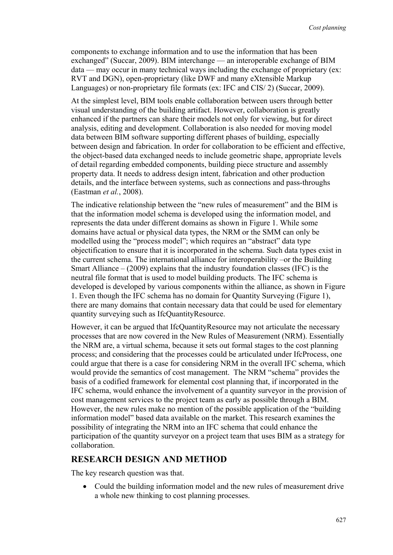components to exchange information and to use the information that has been exchanged" (Succar, 2009). BIM interchange — an interoperable exchange of BIM data — may occur in many technical ways including the exchange of proprietary (ex: RVT and DGN), open-proprietary (like DWF and many eXtensible Markup Languages) or non-proprietary file formats (ex: IFC and CIS/ 2) (Succar, 2009).

At the simplest level, BIM tools enable collaboration between users through better visual understanding of the building artifact. However, collaboration is greatly enhanced if the partners can share their models not only for viewing, but for direct analysis, editing and development. Collaboration is also needed for moving model data between BIM software supporting different phases of building, especially between design and fabrication. In order for collaboration to be efficient and effective, the object-based data exchanged needs to include geometric shape, appropriate levels of detail regarding embedded components, building piece structure and assembly property data. It needs to address design intent, fabrication and other production details, and the interface between systems, such as connections and pass-throughs (Eastman *et al.*, 2008).

The indicative relationship between the "new rules of measurement" and the BIM is that the information model schema is developed using the information model, and represents the data under different domains as shown in Figure 1. While some domains have actual or physical data types, the NRM or the SMM can only be modelled using the "process model"; which requires an "abstract" data type objectification to ensure that it is incorporated in the schema. Such data types exist in the current schema. The international alliance for interoperability –or the Building Smart Alliance  $-$  (2009) explains that the industry foundation classes (IFC) is the neutral file format that is used to model building products. The IFC schema is developed is developed by various components within the alliance, as shown in Figure 1. Even though the IFC schema has no domain for Quantity Surveying (Figure 1), there are many domains that contain necessary data that could be used for elementary quantity surveying such as IfcQuantityResource.

However, it can be argued that IfcQuantityResource may not articulate the necessary processes that are now covered in the New Rules of Measurement (NRM). Essentially the NRM are, a virtual schema, because it sets out formal stages to the cost planning process; and considering that the processes could be articulated under IfcProcess, one could argue that there is a case for considering NRM in the overall IFC schema, which would provide the semantics of cost management. The NRM "schema" provides the basis of a codified framework for elemental cost planning that, if incorporated in the IFC schema, would enhance the involvement of a quantity surveyor in the provision of cost management services to the project team as early as possible through a BIM. However, the new rules make no mention of the possible application of the "building information model" based data available on the market. This research examines the possibility of integrating the NRM into an IFC schema that could enhance the participation of the quantity surveyor on a project team that uses BIM as a strategy for collaboration.

### **RESEARCH DESIGN AND METHOD**

The key research question was that.

• Could the building information model and the new rules of measurement drive a whole new thinking to cost planning processes.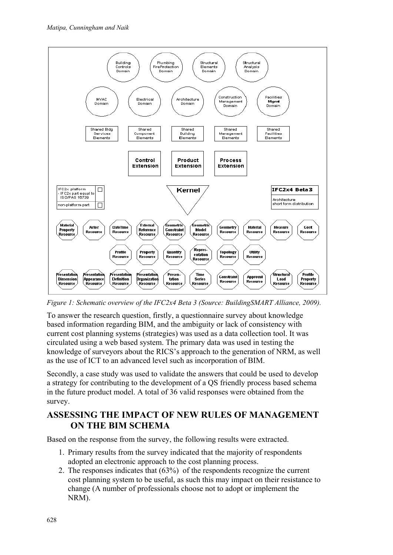

*Figure 1: Schematic overview of the IFC2x4 Beta 3 (Source: BuildingSMART Alliance, 2009).* 

To answer the research question, firstly, a questionnaire survey about knowledge based information regarding BIM, and the ambiguity or lack of consistency with current cost planning systems (strategies) was used as a data collection tool. It was circulated using a web based system. The primary data was used in testing the knowledge of surveyors about the RICS's approach to the generation of NRM, as well as the use of ICT to an advanced level such as incorporation of BIM.

Secondly, a case study was used to validate the answers that could be used to develop a strategy for contributing to the development of a QS friendly process based schema in the future product model. A total of 36 valid responses were obtained from the survey.

### **ASSESSING THE IMPACT OF NEW RULES OF MANAGEMENT ON THE BIM SCHEMA**

Based on the response from the survey, the following results were extracted.

- 1. Primary results from the survey indicated that the majority of respondents adopted an electronic approach to the cost planning process.
- 2. The responses indicates that (63%) of the respondents recognize the current cost planning system to be useful, as such this may impact on their resistance to change (A number of professionals choose not to adopt or implement the NRM).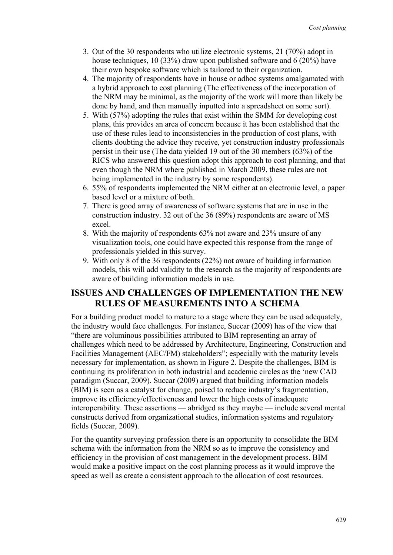- 3. Out of the 30 respondents who utilize electronic systems, 21 (70%) adopt in house techniques, 10 (33%) draw upon published software and 6 (20%) have their own bespoke software which is tailored to their organization.
- 4. The majority of respondents have in house or adhoc systems amalgamated with a hybrid approach to cost planning (The effectiveness of the incorporation of the NRM may be minimal, as the majority of the work will more than likely be done by hand, and then manually inputted into a spreadsheet on some sort).
- 5. With (57%) adopting the rules that exist within the SMM for developing cost plans, this provides an area of concern because it has been established that the use of these rules lead to inconsistencies in the production of cost plans, with clients doubting the advice they receive, yet construction industry professionals persist in their use (The data yielded 19 out of the 30 members (63%) of the RICS who answered this question adopt this approach to cost planning, and that even though the NRM where published in March 2009, these rules are not being implemented in the industry by some respondents).
- 6. 55% of respondents implemented the NRM either at an electronic level, a paper based level or a mixture of both.
- 7. There is good array of awareness of software systems that are in use in the construction industry. 32 out of the 36 (89%) respondents are aware of MS excel.
- 8. With the majority of respondents 63% not aware and 23% unsure of any visualization tools, one could have expected this response from the range of professionals yielded in this survey.
- 9. With only 8 of the 36 respondents (22%) not aware of building information models, this will add validity to the research as the majority of respondents are aware of building information models in use.

## **ISSUES AND CHALLENGES OF IMPLEMENTATION THE NEW RULES OF MEASUREMENTS INTO A SCHEMA**

For a building product model to mature to a stage where they can be used adequately, the industry would face challenges. For instance, Succar (2009) has of the view that "there are voluminous possibilities attributed to BIM representing an array of challenges which need to be addressed by Architecture, Engineering, Construction and Facilities Management (AEC/FM) stakeholders"; especially with the maturity levels necessary for implementation, as shown in Figure 2. Despite the challenges, BIM is continuing its proliferation in both industrial and academic circles as the 'new CAD paradigm (Succar, 2009). Succar (2009) argued that building information models (BIM) is seen as a catalyst for change, poised to reduce industry's fragmentation, improve its efficiency/effectiveness and lower the high costs of inadequate interoperability. These assertions — abridged as they maybe — include several mental constructs derived from organizational studies, information systems and regulatory fields (Succar, 2009).

For the quantity surveying profession there is an opportunity to consolidate the BIM schema with the information from the NRM so as to improve the consistency and efficiency in the provision of cost management in the development process. BIM would make a positive impact on the cost planning process as it would improve the speed as well as create a consistent approach to the allocation of cost resources.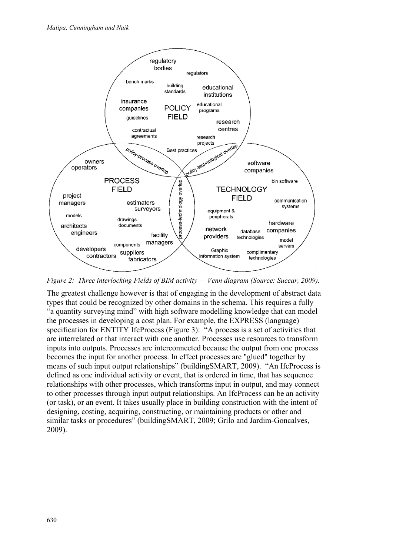

*Figure 2: Three interlocking Fields of BIM activity — Venn diagram (Source: Succar, 2009).* 

The greatest challenge however is that of engaging in the development of abstract data types that could be recognized by other domains in the schema. This requires a fully "a quantity surveying mind" with high software modelling knowledge that can model the processes in developing a cost plan. For example, the EXPRESS (language) specification for ENTITY IfcProcess (Figure 3): "A process is a set of activities that are interrelated or that interact with one another. Processes use resources to transform inputs into outputs. Processes are interconnected because the output from one process becomes the input for another process. In effect processes are "glued" together by means of such input output relationships" (buildingSMART, 2009). "An IfcProcess is defined as one individual activity or event, that is ordered in time, that has sequence relationships with other processes, which transforms input in output, and may connect to other processes through input output relationships. An IfcProcess can be an activity (or task), or an event. It takes usually place in building construction with the intent of designing, costing, acquiring, constructing, or maintaining products or other and similar tasks or procedures" (buildingSMART, 2009; Grilo and Jardim-Goncalves, 2009).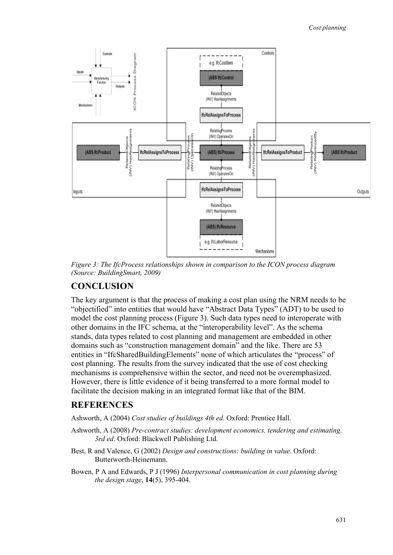

*Figure 3: The IfcProcess relationships shown in comparison to the ICON process diagram (Source: BuildingSmart, 2009)* 

### **CONCLUSION**

The key argument is that the process of making a cost plan using the NRM needs to be "objectified" into entities that would have "Abstract Data Types" (ADT) to be used to model the cost planning process (Figure 3). Such data types need to interoperate with other domains in the IFC schema, at the "interoperability level". As the schema stands, data types related to cost planning and management are embedded in other domains such as "construction management domain" and the like. There are 53 entities in "IfcSharedBuildingElements" none of which articulates the "process" of cost planning. The results from the survey indicated that the use of cost checking mechanisms is comprehensive within the sector, and need not be overemphasized. However, there is little evidence of it being transferred to a more formal model to facilitate the decision making in an integrated format like that of the BIM.

#### **REFERENCES**

Ashworth, A (2004) *Cost studies of buildings 4th ed*. Oxford: Prentice Hall.

- Ashworth, A (2008) *Pre-contract studies: development economics, tendering and estimating. 3rd ed*. Oxford: Blackwell Publishing Ltd.
- Best, R and Valence, G (2002) *Design and constructions: building in value*. Oxford: Butterworth-Heinemann.
- Bowen, P A and Edwards, P J (1996) *Interpersonal communication in cost planning during the design stage*, **14**(5), 395-404.